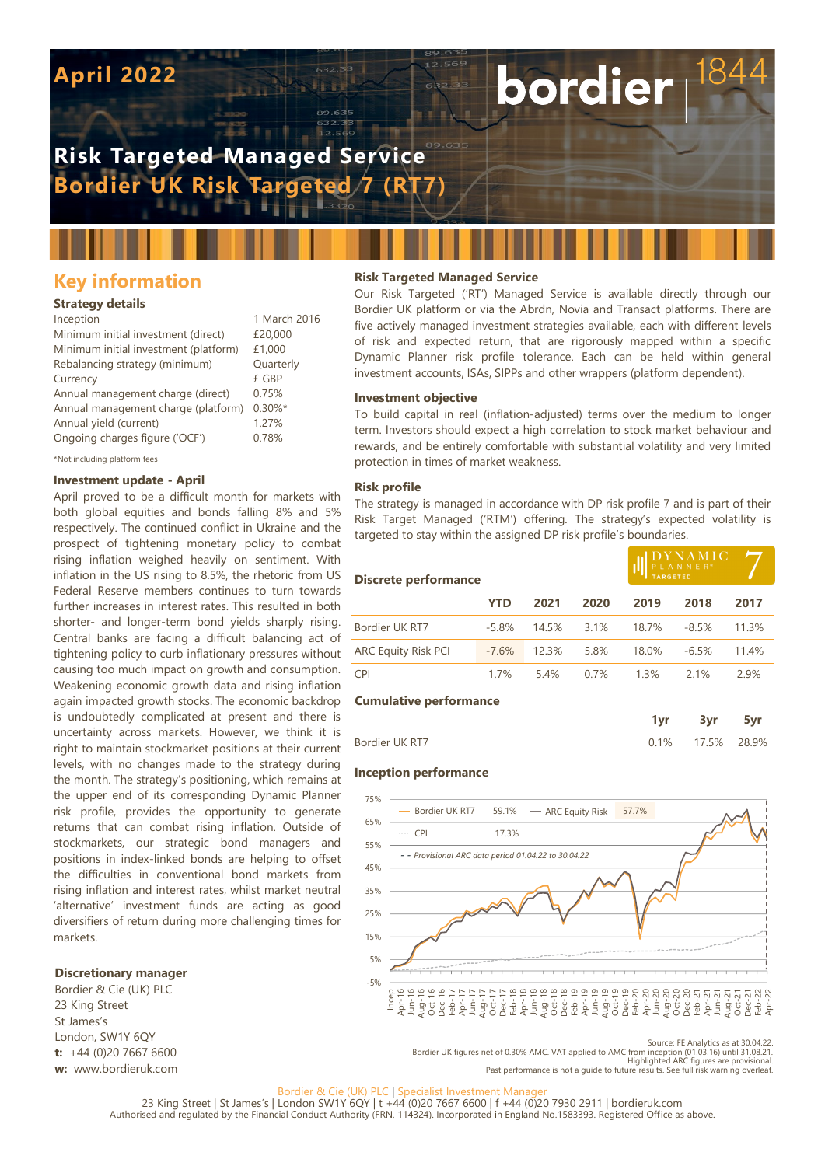# **April 2022**

# **Risk Targeted Managed Service Bordier UK Risk Targeted 7 (RT7)**

# **Key information**

### **Strategy details**

| Inception                             | 1 March 2016 |
|---------------------------------------|--------------|
| Minimum initial investment (direct)   | £20,000      |
| Minimum initial investment (platform) | £1,000       |
| Rebalancing strategy (minimum)        | Quarterly    |
| Currency                              | £ GBP        |
| Annual management charge (direct)     | 0.75%        |
| Annual management charge (platform)   | $0.30\%$ *   |
| Annual yield (current)                | 1.27%        |
| Ongoing charges figure ('OCF')        | 0.78%        |
|                                       |              |

\*Not including platform fees

## **Investment update - April**

April proved to be a difficult month for markets with both global equities and bonds falling 8% and 5% respectively. The continued conflict in Ukraine and the prospect of tightening monetary policy to combat rising inflation weighed heavily on sentiment. With inflation in the US rising to 8.5%, the rhetoric from US Federal Reserve members continues to turn towards further increases in interest rates. This resulted in both shorter- and longer-term bond yields sharply rising. Central banks are facing a difficult balancing act of tightening policy to curb inflationary pressures without causing too much impact on growth and consumption. Weakening economic growth data and rising inflation again impacted growth stocks. The economic backdrop is undoubtedly complicated at present and there is uncertainty across markets. However, we think it is right to maintain stockmarket positions at their current levels, with no changes made to the strategy during the month. The strategy's positioning, which remains at the upper end of its corresponding Dynamic Planner risk profile, provides the opportunity to generate returns that can combat rising inflation. Outside of stockmarkets, our strategic bond managers and positions in index-linked bonds are helping to offset the difficulties in conventional bond markets from rising inflation and interest rates, whilst market neutral 'alternative' investment funds are acting as good diversifiers of return during more challenging times for markets.

#### **Discretionary manager**

Bordier & Cie (UK) PLC 23 King Street St James's London, SW1Y 6QY **t:** +44 (0)20 7667 6600 **w:** www.bordieruk.com

## **Risk Targeted Managed Service**

Our Risk Targeted ('RT') Managed Service is available directly through our Bordier UK platform or via the Abrdn, Novia and Transact platforms. There are five actively managed investment strategies available, each with different levels of risk and expected return, that are rigorously mapped within a specific Dynamic Planner risk profile tolerance. Each can be held within general investment accounts, ISAs, SIPPs and other wrappers (platform dependent).

bordier

#### **Investment objective**

To build capital in real (inflation-adjusted) terms over the medium to longer term. Investors should expect a high correlation to stock market behaviour and rewards, and be entirely comfortable with substantial volatility and very limited protection in times of market weakness.

#### **Risk profile**

The strategy is managed in accordance with DP risk profile 7 and is part of their Risk Target Managed ('RTM') offering. The strategy's expected volatility is targeted to stay within the assigned DP risk profile's boundaries.

| <b>Discrete performance</b>   |         |       |      | DYNAMIC<br>PLANNER® |         |       |
|-------------------------------|---------|-------|------|---------------------|---------|-------|
|                               | YTD     | 2021  | 2020 | 2019                | 2018    | 2017  |
| Bordier UK RT7                | $-5.8%$ | 14.5% | 3.1% | 18.7%               | $-8.5%$ | 11.3% |
| <b>ARC Equity Risk PCI</b>    | $-7.6%$ | 12.3% | 5.8% | 18.0%               | $-6.5%$ | 11.4% |
| <b>CPI</b>                    | 1.7%    | 5.4%  | 0.7% | 1.3%                | 2.1%    | 2.9%  |
| <b>Cumulative performance</b> |         |       |      |                     |         |       |
|                               |         |       |      | 1vr                 | 3vr     | 5yr   |

|                 | ___ |    |
|-----------------|-----|----|
| Bordier LIK RT7 | 5%  | 9% |

#### **Inception performance**



.22.Source: FE Analytics as at 30.04.22<br>.Bordier UK figures net of 0.30% AMC. VAT applied to AMC from inception (01.03.16) until 31.08.21<br>.Highlighted ARC figures are provisional.<br>.Past performance is not a quide to future

#### Bordier & Cie (UK) PLC | Specialist Investment Manage

23 King Street | St James's | London SW1Y 6QY | t +44 (0)20 7667 6600 | f +44 (0)20 7930 2911 | bordieruk.com<br>Authorised and regulated by the Financial Conduct Authority (FRN. 114324). Incorporated in England No.1583393. R